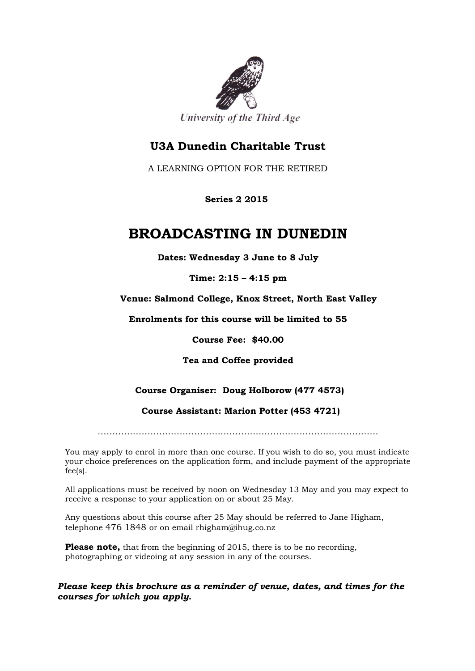

University of the Third Age

## **U3A Dunedin Charitable Trust**

A LEARNING OPTION FOR THE RETIRED

 **Series 2 2015**

# **BROADCASTING IN DUNEDIN**

**Dates: Wednesday 3 June to 8 July**

**Time: 2:15 – 4:15 pm**

**Venue: Salmond College, Knox Street, North East Valley**

**Enrolments for this course will be limited to 55**

**Course Fee: \$40.00**

**Tea and Coffee provided**

## **Course Organiser: Doug Holborow (477 4573)**

 **Course Assistant: Marion Potter (453 4721)**

……………………………………………………………………………………

You may apply to enrol in more than one course. If you wish to do so, you must indicate your choice preferences on the application form, and include payment of the appropriate fee(s).

All applications must be received by noon on Wednesday 13 May and you may expect to receive a response to your application on or about 25 May.

Any questions about this course after 25 May should be referred to Jane Higham, telephone 476 1848 or on email rhigham@ihug.co.nz

**Please note,** that from the beginning of 2015, there is to be no recording, photographing or videoing at any session in any of the courses.

*Please keep this brochure as a reminder of venue, dates, and times for the courses for which you apply.*